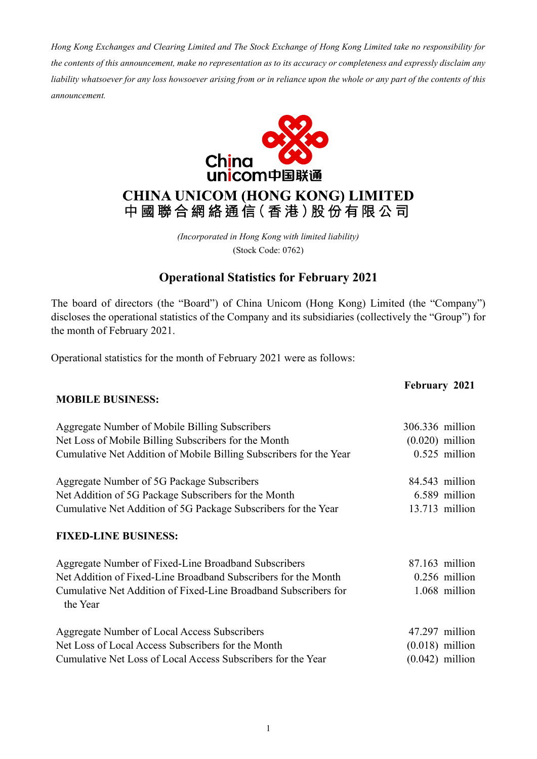*Hong Kong Exchanges and Clearing Limited and The Stock Exchange of Hong Kong Limited take no responsibility for the contents of this announcement, make no representation as to its accuracy or completeness and expressly disclaim any liability whatsoever for any loss howsoever arising from or in reliance upon the whole or any part of the contents of this announcement.*



## **CHINA UNICOM (HONG KONG) LIMITED** 中國聯合網絡通信(香港)股份有限公司

*(Incorporated in Hong Kong with limited liability)* (Stock Code: 0762)

### **Operational Statistics for February 2021**

The board of directors (the "Board") of China Unicom (Hong Kong) Limited (the "Company") discloses the operational statistics of the Company and its subsidiaries (collectively the "Group") for the month of February 2021.

Operational statistics for the month of February 2021 were as follows:

## **February 2021 MOBILE BUSINESS:** Aggregate Number of Mobile Billing Subscribers 306.336 million Net Loss of Mobile Billing Subscribers for the Month (0.020) million Cumulative Net Addition of Mobile Billing Subscribers for the Year 0.525 million Aggregate Number of 5G Package Subscribers 84.543 million Net Addition of 5G Package Subscribers for the Month 6.589 million Cumulative Net Addition of 5G Package Subscribers for the Year 13.713 million **FIXED-LINE BUSINESS:** Aggregate Number of Fixed-Line Broadband Subscribers 87.163 million Net Addition of Fixed-Line Broadband Subscribers for the Month 0.256 million Cumulative Net Addition of Fixed-Line Broadband Subscribers for the Year 1.068 million Aggregate Number of Local Access Subscribers 47.297 million Net Loss of Local Access Subscribers for the Month (0.018) million Cumulative Net Loss of Local Access Subscribers for the Year (0.042) million